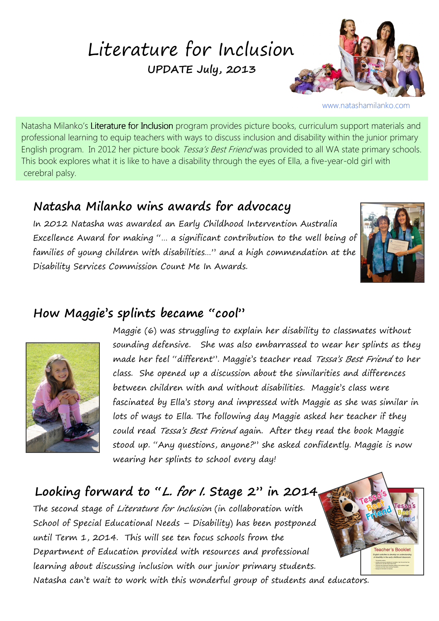# Literature for Inclusion UPDATE July, 2013



www.natashamilanko.com

Natasha Milanko's Literature for Inclusion program provides picture books, curriculum support materials and professional learning to equip teachers with ways to discuss inclusion and disability within the junior primary English program. In 2012 her picture book Tessa's Best Friend was provided to all WA state primary schools. This book explores what it is like to have a disability through the eyes of Ella, a five-year-old girl with cerebral palsy.

#### Natasha Milanko wins awards for advocacy

 In 2012 Natasha was awarded an Early Childhood Intervention Australia Excellence Award for making "… a significant contribution to the well being of families of young children with disabilities…" and a high commendation at the Disability Services Commission Count Me In Awards.



-<br>Teacher's Booklet

#### How Maggie's splints became "cool"



Maggie (6) was struggling to explain her disability to classmates without sounding defensive. She was also embarrassed to wear her splints as they made her feel "different". Maggie's teacher read Tessa's Best Friend to her class. She opened up a discussion about the similarities and differences between children with and without disabilities. Maggie's class were fascinated by Ella's story and impressed with Maggie as she was similar in lots of ways to Ella. The following day Maggie asked her teacher if they could read Tessa's Best Friend again. After they read the book Maggie stood up. "Any questions, anyone?" she asked confidently. Maggie is now wearing her splints to school every day!

## Looking forward to "L. for I. Stage 2" in 2014.

The second stage of Literature for Inclusion (in collaboration with School of Special Educational Needs – Disability) has been postponed until Term 1, 2014. This will see ten focus schools from the Department of Education provided with resources and professional learning about discussing inclusion with our junior primary students. Natasha can't wait to work with this wonderful group of students and educators.